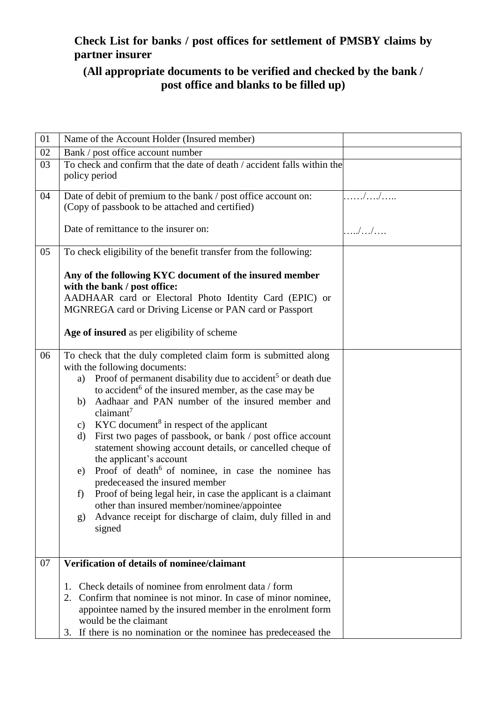# **Check List for banks / post offices for settlement of PMSBY claims by partner insurer**

# **(All appropriate documents to be verified and checked by the bank / post office and blanks to be filled up)**

| 01 | Name of the Account Holder (Insured member)                                                                                                                                                                                                                                                                                                                                                                                                                                                                                                                                                                                                                                                                                                                                                                                                                                                       |       |
|----|---------------------------------------------------------------------------------------------------------------------------------------------------------------------------------------------------------------------------------------------------------------------------------------------------------------------------------------------------------------------------------------------------------------------------------------------------------------------------------------------------------------------------------------------------------------------------------------------------------------------------------------------------------------------------------------------------------------------------------------------------------------------------------------------------------------------------------------------------------------------------------------------------|-------|
| 02 | Bank / post office account number                                                                                                                                                                                                                                                                                                                                                                                                                                                                                                                                                                                                                                                                                                                                                                                                                                                                 |       |
| 03 | To check and confirm that the date of death / accident falls within the<br>policy period                                                                                                                                                                                                                                                                                                                                                                                                                                                                                                                                                                                                                                                                                                                                                                                                          |       |
| 04 | Date of debit of premium to the bank / post office account on:<br>(Copy of passbook to be attached and certified)                                                                                                                                                                                                                                                                                                                                                                                                                                                                                                                                                                                                                                                                                                                                                                                 | . //  |
|    | Date of remittance to the insurer on:                                                                                                                                                                                                                                                                                                                                                                                                                                                                                                                                                                                                                                                                                                                                                                                                                                                             | . / / |
| 05 | To check eligibility of the benefit transfer from the following:                                                                                                                                                                                                                                                                                                                                                                                                                                                                                                                                                                                                                                                                                                                                                                                                                                  |       |
|    | Any of the following KYC document of the insured member<br>with the bank / post office:                                                                                                                                                                                                                                                                                                                                                                                                                                                                                                                                                                                                                                                                                                                                                                                                           |       |
|    | AADHAAR card or Electoral Photo Identity Card (EPIC) or                                                                                                                                                                                                                                                                                                                                                                                                                                                                                                                                                                                                                                                                                                                                                                                                                                           |       |
|    | MGNREGA card or Driving License or PAN card or Passport                                                                                                                                                                                                                                                                                                                                                                                                                                                                                                                                                                                                                                                                                                                                                                                                                                           |       |
|    | Age of insured as per eligibility of scheme                                                                                                                                                                                                                                                                                                                                                                                                                                                                                                                                                                                                                                                                                                                                                                                                                                                       |       |
| 06 | To check that the duly completed claim form is submitted along<br>with the following documents:<br>Proof of permanent disability due to accident <sup>5</sup> or death due<br>a)<br>to accident <sup>6</sup> of the insured member, as the case may be<br>Aadhaar and PAN number of the insured member and<br>b)<br>claimant <sup>7</sup><br>$KYC$ document <sup>8</sup> in respect of the applicant<br>$\mathbf{c})$<br>First two pages of passbook, or bank / post office account<br>d)<br>statement showing account details, or cancelled cheque of<br>the applicant's account<br>Proof of death <sup>6</sup> of nominee, in case the nominee has<br>e)<br>predeceased the insured member<br>Proof of being legal heir, in case the applicant is a claimant<br>f)<br>other than insured member/nominee/appointee<br>Advance receipt for discharge of claim, duly filled in and<br>g)<br>signed |       |
| 07 | Verification of details of nominee/claimant                                                                                                                                                                                                                                                                                                                                                                                                                                                                                                                                                                                                                                                                                                                                                                                                                                                       |       |
|    |                                                                                                                                                                                                                                                                                                                                                                                                                                                                                                                                                                                                                                                                                                                                                                                                                                                                                                   |       |
|    | Check details of nominee from enrolment data / form<br>1.                                                                                                                                                                                                                                                                                                                                                                                                                                                                                                                                                                                                                                                                                                                                                                                                                                         |       |
|    | Confirm that nominee is not minor. In case of minor nominee,<br>2.                                                                                                                                                                                                                                                                                                                                                                                                                                                                                                                                                                                                                                                                                                                                                                                                                                |       |
|    | appointee named by the insured member in the enrolment form<br>would be the claimant                                                                                                                                                                                                                                                                                                                                                                                                                                                                                                                                                                                                                                                                                                                                                                                                              |       |
|    | 3. If there is no nomination or the nominee has predeceased the                                                                                                                                                                                                                                                                                                                                                                                                                                                                                                                                                                                                                                                                                                                                                                                                                                   |       |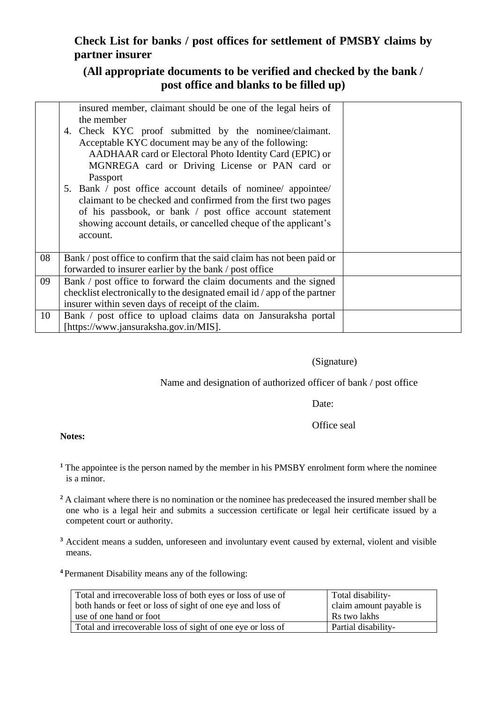## **Check List for banks / post offices for settlement of PMSBY claims by partner insurer**

### **(All appropriate documents to be verified and checked by the bank / post office and blanks to be filled up)**

|    | insured member, claimant should be one of the legal heirs of<br>the member<br>4. Check KYC proof submitted by the nominee/claimant.<br>Acceptable KYC document may be any of the following:<br>AADHAAR card or Electoral Photo Identity Card (EPIC) or     |  |
|----|------------------------------------------------------------------------------------------------------------------------------------------------------------------------------------------------------------------------------------------------------------|--|
|    | MGNREGA card or Driving License or PAN card or<br>Passport                                                                                                                                                                                                 |  |
|    | 5. Bank / post office account details of nominee appointee<br>claimant to be checked and confirmed from the first two pages<br>of his passbook, or bank / post office account statement<br>showing account details, or cancelled cheque of the applicant's |  |
|    | account.                                                                                                                                                                                                                                                   |  |
| 08 | Bank / post office to confirm that the said claim has not been paid or<br>forwarded to insurer earlier by the bank / post office                                                                                                                           |  |
| 09 | Bank / post office to forward the claim documents and the signed<br>checklist electronically to the designated email id / app of the partner<br>insurer within seven days of receipt of the claim.                                                         |  |
| 10 | Bank / post office to upload claims data on Jansuraksha portal<br>[https://www.jansuraksha.gov.in/MIS].                                                                                                                                                    |  |

### (Signature)

### Name and designation of authorized officer of bank / post office

Date:

Office seal

#### **Notes:**

- **<sup>1</sup>** The appointee is the person named by the member in his PMSBY enrolment form where the nominee is a minor.
- <sup>2</sup> A claimant where there is no nomination or the nominee has predeceased the insured member shall be one who is a legal heir and submits a succession certificate or legal heir certificate issued by a competent court or authority.
- <sup>3</sup> Accident means a sudden, unforeseen and involuntary event caused by external, violent and visible means.
- **<sup>4</sup>**Permanent Disability means any of the following:

| Total and irrecoverable loss of both eyes or loss of use of | Total disability-       |
|-------------------------------------------------------------|-------------------------|
| both hands or feet or loss of sight of one eye and loss of  | claim amount payable is |
| use of one hand or foot                                     | Rs two lakhs            |
| Total and irrecoverable loss of sight of one eye or loss of | Partial disability-     |